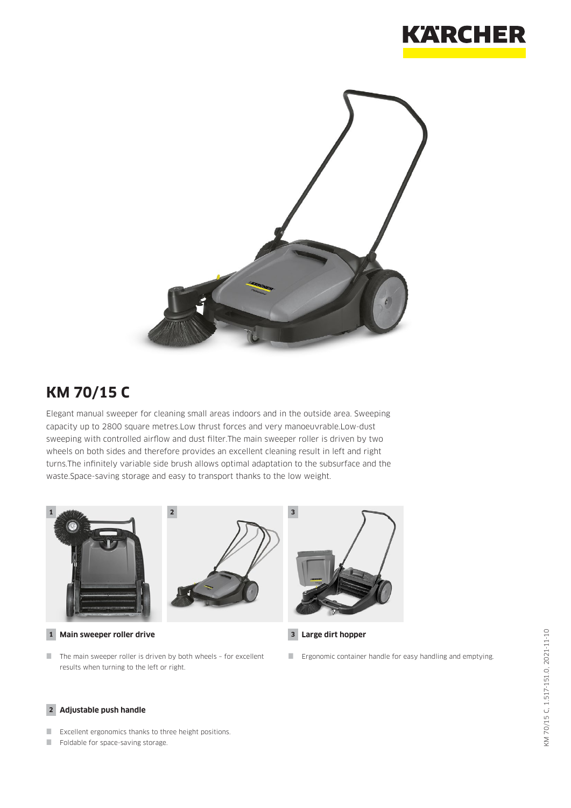



## **KM 70/15 C**

Elegant manual sweeper for cleaning small areas indoors and in the outside area. Sweeping capacity up to 2800 square metres.Low thrust forces and very manoeuvrable.Low-dust sweeping with controlled airflow and dust filter.The main sweeper roller is driven by two wheels on both sides and therefore provides an excellent cleaning result in left and right turns.The infinitely variable side brush allows optimal adaptation to the subsurface and the waste.Space-saving storage and easy to transport thanks to the low weight.



**1 Main sweeper roller drive 3**

 $\blacksquare$  The main sweeper roller is driven by both wheels - for excellent results when turning to the left or right.



**Large dirt hopper**

**Example 2** Ergonomic container handle for easy handling and emptying.

#### **2 Adjustable push handle**

- **EXCELLENT EXCELLENT EXCELLENT EXCELLENT** EXCELLENT EXCELLENT EXCELLENT EXCELLENT EXCELLENT EXCELLENT EXCELLENT
- Foldable for space-saving storage.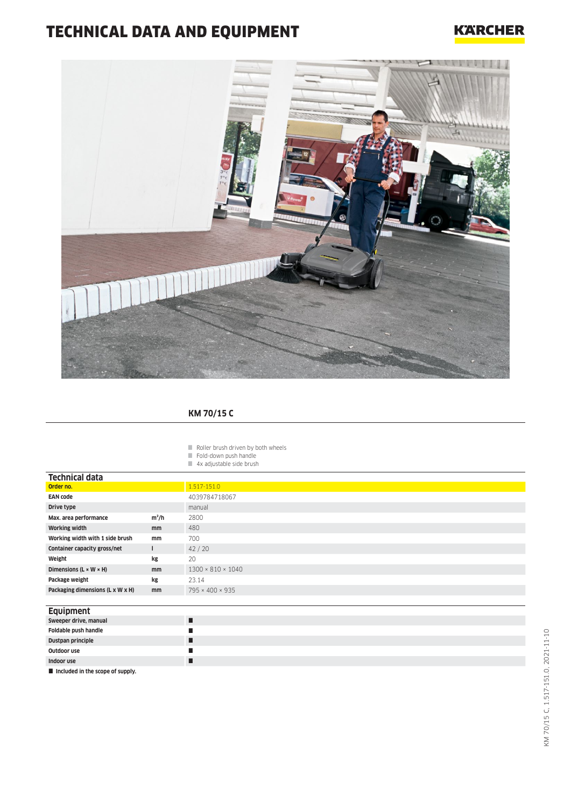# TECHNICAL DATA AND EQUIPMENT

### **KARCHER**



#### **KM 70/15 C**

- $\blacksquare$  Roller brush driven by both wheels
- Fold-down push handle
- 4x adjustable side brush

| <b>Technical data</b>                |               |                               |
|--------------------------------------|---------------|-------------------------------|
| Order no.                            |               | 1.517-151.0                   |
| <b>EAN code</b>                      |               | 4039784718067                 |
| Drive type                           |               | manual                        |
| Max. area performance                | $m^2/h$       | 2800                          |
| <b>Working width</b>                 | <sub>mm</sub> | 480                           |
| Working width with 1 side brush      | mm            | 700                           |
| Container capacity gross/net         |               | 42/20                         |
| Weight                               | kg            | 20                            |
| Dimensions ( $L \times W \times H$ ) | mm            | $1300 \times 810 \times 1040$ |
| Package weight                       | kg            | 23.14                         |
| Packaging dimensions (L x W x H)     | mm            | 795 × 400 × 935               |

#### **Equipment**

| Sweeper drive, manual                          |   |
|------------------------------------------------|---|
| Foldable push handle                           | ш |
| Dustpan principle                              |   |
| Outdoor use                                    |   |
| Indoor use                                     |   |
| $\blacksquare$ included in the scone of sunnly |   |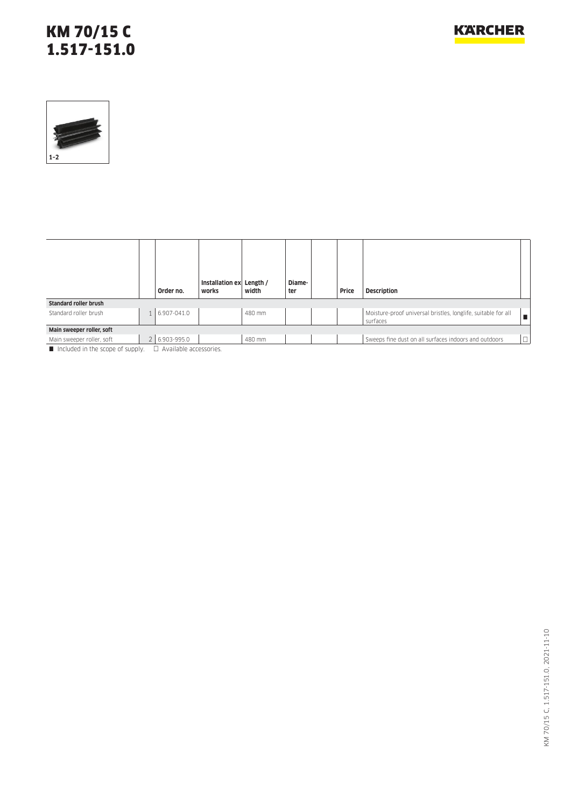### KM 70/15 C 1.517-151.0



|                               | Order no.                  | Installation ex<br>works | Length /<br>width | Diame-<br>ter | Price | <b>Description</b>                                                        |        |
|-------------------------------|----------------------------|--------------------------|-------------------|---------------|-------|---------------------------------------------------------------------------|--------|
| <b>Standard roller brush</b>  |                            |                          |                   |               |       |                                                                           |        |
| Standard roller brush         | 6.907-041.0                |                          | 480 mm            |               |       | Moisture-proof universal bristles, longlife, suitable for all<br>surfaces |        |
| Main sweeper roller, soft     |                            |                          |                   |               |       |                                                                           |        |
| Main sweeper roller, soft     | 2 6.903-995.0              |                          | 480 mm            |               |       | Sweeps fine dust on all surfaces indoors and outdoors                     | $\Box$ |
| locked in the scene of supply | $\Box$ Available according |                          |                   |               |       |                                                                           |        |

Included in the scope of supply.  $\Box$  Available accessories.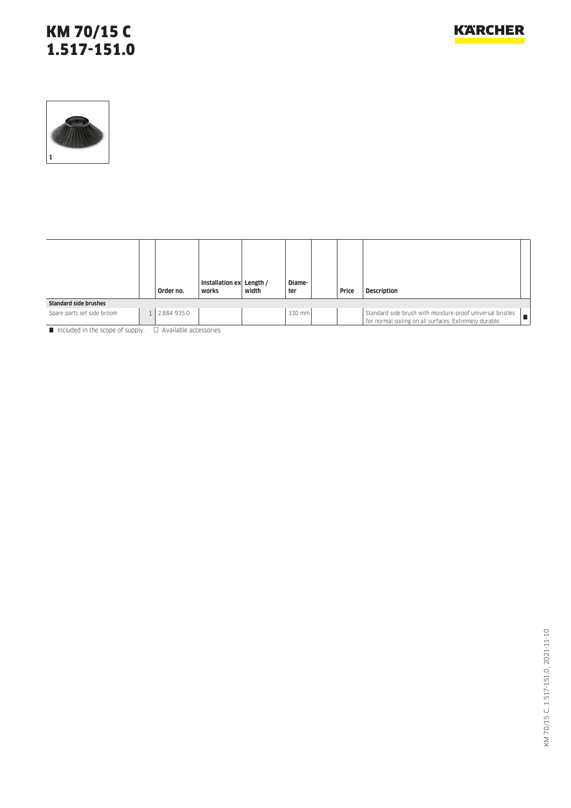### KM 70/15 C 1.517-151.0



|                              | Order no.   | Installation ex Length /<br>works | width | Diame-<br>ter | Price | <b>Description</b>                                                                                                          |
|------------------------------|-------------|-----------------------------------|-------|---------------|-------|-----------------------------------------------------------------------------------------------------------------------------|
| <b>Standard side brushes</b> |             |                                   |       |               |       |                                                                                                                             |
| Spare parts set side broom   | 2.884-935.0 |                                   |       | 330 mm        |       | Standard side brush with moisture-proof universal bristles<br>. .<br>for normal soiling on all surfaces. Extremely durable. |

 $\blacksquare$  Included in the scope of supply.  $\Box$  Available accessories.